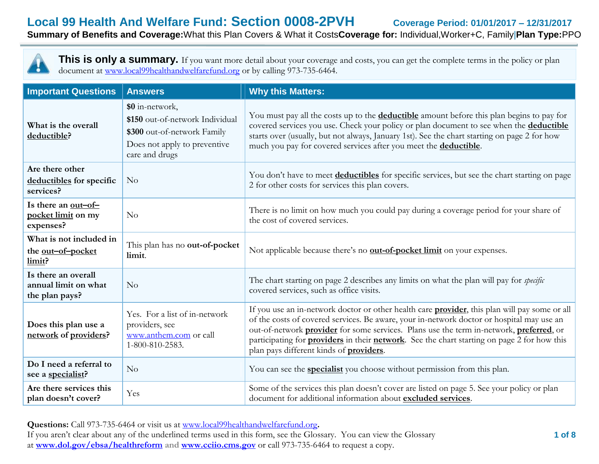**Local 99 Health And Welfare Fund: Section 0008-2PVH Coverage Period: 01/01/2017 – 12/31/2017**

## **Summary of Benefits and Coverage:**What this Plan Covers & What it Costs**Coverage for:** Individual,Worker+C, Family|**Plan Type:**PPO



This is only a summary. If you want more detail about your coverage and costs, you can get the complete terms in the policy or plan document at [www.local99healthandwelfarefund.org](http://www.local99healthandwelfarefund.org/) or by calling 973-735-6464.

| <b>Important Questions</b>                                    | <b>Answers</b>                                                                                                                      | <b>Why this Matters:</b>                                                                                                                                                                                                                                                                                                                                                                                                                                              |
|---------------------------------------------------------------|-------------------------------------------------------------------------------------------------------------------------------------|-----------------------------------------------------------------------------------------------------------------------------------------------------------------------------------------------------------------------------------------------------------------------------------------------------------------------------------------------------------------------------------------------------------------------------------------------------------------------|
| What is the overall<br>deductible?                            | \$0 in-network,<br>\$150 out-of-network Individual<br>\$300 out-of-network Family<br>Does not apply to preventive<br>care and drugs | You must pay all the costs up to the <b>deductible</b> amount before this plan begins to pay for<br>covered services you use. Check your policy or plan document to see when the deductible<br>starts over (usually, but not always, January 1st). See the chart starting on page 2 for how<br>much you pay for covered services after you meet the deductible.                                                                                                       |
| Are there other<br>deductibles for specific<br>services?      | N <sub>o</sub>                                                                                                                      | You don't have to meet deductibles for specific services, but see the chart starting on page<br>2 for other costs for services this plan covers.                                                                                                                                                                                                                                                                                                                      |
| Is there an <u>out-of-</u><br>pocket limit on my<br>expenses? | N <sub>o</sub>                                                                                                                      | There is no limit on how much you could pay during a coverage period for your share of<br>the cost of covered services.                                                                                                                                                                                                                                                                                                                                               |
| What is not included in<br>the out-of-pocket<br>limit?        | This plan has no out-of-pocket<br>limit.                                                                                            | Not applicable because there's no <b>out-of-pocket limit</b> on your expenses.                                                                                                                                                                                                                                                                                                                                                                                        |
| Is there an overall<br>annual limit on what<br>the plan pays? | No                                                                                                                                  | The chart starting on page 2 describes any limits on what the plan will pay for <i>specific</i><br>covered services, such as office visits.                                                                                                                                                                                                                                                                                                                           |
| Does this plan use a<br>network of providers?                 | Yes. For a list of in-network<br>providers, see<br>www.anthem.com or call<br>1-800-810-2583.                                        | If you use an in-network doctor or other health care <b>provider</b> , this plan will pay some or all<br>of the costs of covered services. Be aware, your in-network doctor or hospital may use an<br>out-of-network <b>provider</b> for some services. Plans use the term in-network, <b>preferred</b> , or<br>participating for <b>providers</b> in their network. See the chart starting on page 2 for how this<br>plan pays different kinds of <b>providers</b> . |
| Do I need a referral to<br>see a specialist?                  | No                                                                                                                                  | You can see the <b>specialist</b> you choose without permission from this plan.                                                                                                                                                                                                                                                                                                                                                                                       |
| Are there services this<br>plan doesn't cover?                | Yes                                                                                                                                 | Some of the services this plan doesn't cover are listed on page 5. See your policy or plan<br>document for additional information about excluded services.                                                                                                                                                                                                                                                                                                            |

**Questions:** Call 973-735-6464 or visit us at [www.local99healthandwelfarefund.org](http://www.local99healthandwelfarefund.org/)**.** If you aren't clear about any of the underlined terms used in this form, see the Glossary. You can view the Glossary at **[www.dol.gov/ebsa/healthreform](http://www.dol.gov/ebsa/healthreform) and [www.cciio.cms.gov](http://www.cciio.cms.gov/)** or call 973-735-6464 to request a copy.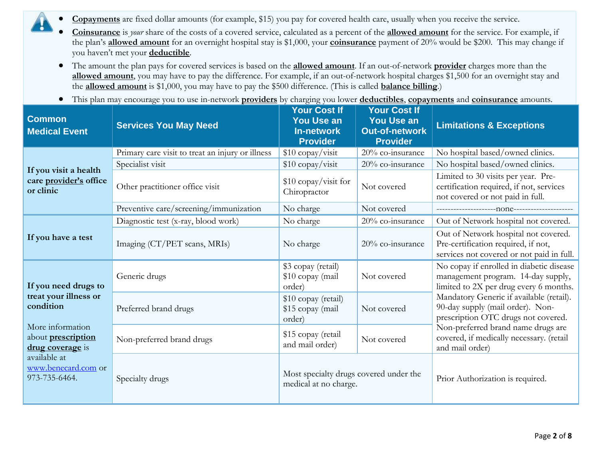- **Copayments** are fixed dollar amounts (for example, \$15) you pay for covered health care, usually when you receive the service.
	- **Coinsurance** is *your* share of the costs of a covered service, calculated as a percent of the **allowed amount** for the service. For example, if the plan's **allowed amount** for an overnight hospital stay is \$1,000, your **coinsurance** payment of 20% would be \$200. This may change if you haven't met your **deductible**.
	- The amount the plan pays for covered services is based on the **allowed amount**. If an out-of-network **provider** charges more than the **allowed amount**, you may have to pay the difference. For example, if an out-of-network hospital charges \$1,500 for an overnight stay and the **allowed amount** is \$1,000, you may have to pay the \$500 difference. (This is called **balance billing**.)
	- This plan may encourage you to use in-network **providers** by charging you lower **deductibles**, **copayments** and **coinsurance** amounts.

| <b>Common</b><br><b>Medical Event</b>                                                                                                                                                   | <b>Services You May Need</b>                     | <b>Your Cost If</b><br><b>You Use an</b><br><b>In-network</b><br><b>Provider</b> | <b>Your Cost If</b><br><b>You Use an</b><br><b>Out-of-network</b><br><b>Provider</b> | <b>Limitations &amp; Exceptions</b>                                                                                      |  |
|-----------------------------------------------------------------------------------------------------------------------------------------------------------------------------------------|--------------------------------------------------|----------------------------------------------------------------------------------|--------------------------------------------------------------------------------------|--------------------------------------------------------------------------------------------------------------------------|--|
|                                                                                                                                                                                         | Primary care visit to treat an injury or illness | \$10 copay/visit                                                                 | 20% co-insurance                                                                     | No hospital based/owned clinics.                                                                                         |  |
| If you visit a health<br>care provider's office<br>or clinic                                                                                                                            | Specialist visit                                 | \$10 copay/visit                                                                 | 20% co-insurance                                                                     | No hospital based/owned clinics.                                                                                         |  |
|                                                                                                                                                                                         | Other practitioner office visit                  | \$10 copay/visit for<br>Chiropractor                                             | Not covered                                                                          | Limited to 30 visits per year. Pre-<br>certification required, if not, services<br>not covered or not paid in full.      |  |
|                                                                                                                                                                                         | Preventive care/screening/immunization           | No charge                                                                        | Not covered                                                                          |                                                                                                                          |  |
|                                                                                                                                                                                         | Diagnostic test (x-ray, blood work)              | No charge                                                                        | 20% co-insurance                                                                     | Out of Network hospital not covered.                                                                                     |  |
| If you have a test                                                                                                                                                                      | Imaging (CT/PET scans, MRIs)                     | No charge                                                                        | 20% co-insurance                                                                     | Out of Network hospital not covered.<br>Pre-certification required, if not,<br>services not covered or not paid in full. |  |
| If you need drugs to<br>treat your illness or<br>condition<br>More information<br>about <b>prescription</b><br>drug coverage is<br>available at<br>www.benecard.com or<br>973-735-6464. | Generic drugs                                    | \$3 copay (retail)<br>\$10 copay (mail<br>order)                                 | Not covered                                                                          | No copay if enrolled in diabetic disease<br>management program. 14-day supply,<br>limited to 2X per drug every 6 months. |  |
|                                                                                                                                                                                         | Preferred brand drugs                            | \$10 copay (retail)<br>\$15 copay (mail<br>order)                                | Not covered                                                                          | Mandatory Generic if available (retail).<br>90-day supply (mail order). Non-<br>prescription OTC drugs not covered.      |  |
|                                                                                                                                                                                         | Non-preferred brand drugs                        | \$15 copay (retail<br>and mail order)                                            | Not covered                                                                          | Non-preferred brand name drugs are<br>covered, if medically necessary. (retail<br>and mail order)                        |  |
|                                                                                                                                                                                         | Specialty drugs                                  | Most specialty drugs covered under the<br>medical at no charge.                  |                                                                                      | Prior Authorization is required.                                                                                         |  |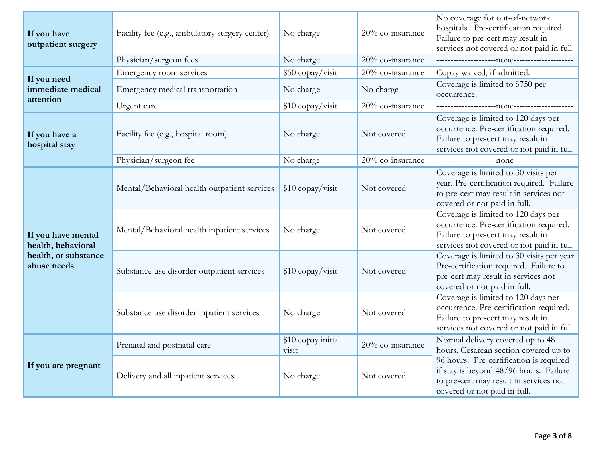| If you have<br>outpatient surgery                                               | Facility fee (e.g., ambulatory surgery center) | No charge                   | 20% co-insurance | No coverage for out-of-network<br>hospitals. Pre-certification required.<br>Failure to pre-cert may result in<br>services not covered or not paid in full.       |
|---------------------------------------------------------------------------------|------------------------------------------------|-----------------------------|------------------|------------------------------------------------------------------------------------------------------------------------------------------------------------------|
|                                                                                 | Physician/surgeon fees                         | No charge                   | 20% co-insurance |                                                                                                                                                                  |
| If you need                                                                     | Emergency room services                        | \$50 copay/visit            | 20% co-insurance | Copay waived, if admitted.                                                                                                                                       |
| immediate medical<br>attention                                                  | Emergency medical transportation               | No charge                   | No charge        | Coverage is limited to \$750 per<br>occurrence.                                                                                                                  |
|                                                                                 | Urgent care                                    | \$10 copay/visit            | 20% co-insurance |                                                                                                                                                                  |
| If you have a<br>hospital stay                                                  | Facility fee (e.g., hospital room)             | No charge                   | Not covered      | Coverage is limited to 120 days per<br>occurrence. Pre-certification required.<br>Failure to pre-cert may result in<br>services not covered or not paid in full. |
|                                                                                 | Physician/surgeon fee                          | No charge                   | 20% co-insurance |                                                                                                                                                                  |
| If you have mental<br>health, behavioral<br>health, or substance<br>abuse needs | Mental/Behavioral health outpatient services   | \$10 copay/visit            | Not covered      | Coverage is limited to 30 visits per<br>year. Pre-certification required. Failure<br>to pre-cert may result in services not<br>covered or not paid in full.      |
|                                                                                 | Mental/Behavioral health inpatient services    | No charge                   | Not covered      | Coverage is limited to 120 days per<br>occurrence. Pre-certification required.<br>Failure to pre-cert may result in<br>services not covered or not paid in full. |
|                                                                                 | Substance use disorder outpatient services     | \$10 copay/visit            | Not covered      | Coverage is limited to 30 visits per year<br>Pre-certification required. Failure to<br>pre-cert may result in services not<br>covered or not paid in full.       |
|                                                                                 | Substance use disorder inpatient services      | No charge                   | Not covered      | Coverage is limited to 120 days per<br>occurrence. Pre-certification required.<br>Failure to pre-cert may result in<br>services not covered or not paid in full. |
| If you are pregnant                                                             | Prenatal and postnatal care                    | \$10 copay initial<br>visit | 20% co-insurance | Normal delivery covered up to 48<br>hours, Cesarean section covered up to                                                                                        |
|                                                                                 | Delivery and all inpatient services            | No charge                   | Not covered      | 96 hours. Pre-certification is required<br>if stay is beyond 48/96 hours. Failure<br>to pre-cert may result in services not<br>covered or not paid in full.      |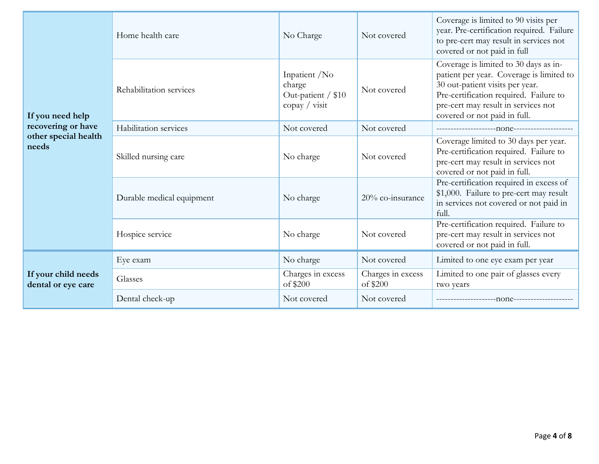| If you need help                          | Home health care                  | No Charge                                                                     | Not covered                                                                                                                                            | Coverage is limited to 90 visits per<br>year. Pre-certification required. Failure<br>to pre-cert may result in services not<br>covered or not paid in full                                                                            |
|-------------------------------------------|-----------------------------------|-------------------------------------------------------------------------------|--------------------------------------------------------------------------------------------------------------------------------------------------------|---------------------------------------------------------------------------------------------------------------------------------------------------------------------------------------------------------------------------------------|
|                                           | Rehabilitation services           | Inpatient /No<br>charge<br>Out-patient / \$10<br>$\text{copy} / \text{visit}$ | Not covered                                                                                                                                            | Coverage is limited to 30 days as in-<br>patient per year. Coverage is limited to<br>30 out-patient visits per year.<br>Pre-certification required. Failure to<br>pre-cert may result in services not<br>covered or not paid in full. |
| recovering or have                        | Habilitation services             | Not covered                                                                   | Not covered                                                                                                                                            |                                                                                                                                                                                                                                       |
| other special health<br>needs             | Skilled nursing care<br>No charge | Not covered                                                                   | Coverage limited to 30 days per year.<br>Pre-certification required. Failure to<br>pre-cert may result in services not<br>covered or not paid in full. |                                                                                                                                                                                                                                       |
|                                           | Durable medical equipment         | No charge                                                                     | 20% co-insurance                                                                                                                                       | Pre-certification required in excess of<br>\$1,000. Failure to pre-cert may result<br>in services not covered or not paid in<br>full.                                                                                                 |
|                                           | Hospice service                   | No charge                                                                     | Not covered                                                                                                                                            | Pre-certification required. Failure to<br>pre-cert may result in services not<br>covered or not paid in full.                                                                                                                         |
| If your child needs<br>dental or eye care | Eye exam                          | No charge                                                                     | Not covered                                                                                                                                            | Limited to one eye exam per year                                                                                                                                                                                                      |
|                                           | Glasses                           | Charges in excess<br>of \$200                                                 | Charges in excess<br>of \$200                                                                                                                          | Limited to one pair of glasses every<br>two years                                                                                                                                                                                     |
|                                           | Dental check-up                   | Not covered                                                                   | Not covered                                                                                                                                            |                                                                                                                                                                                                                                       |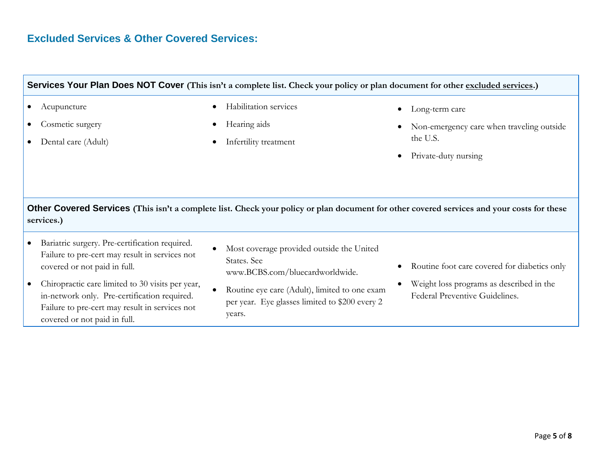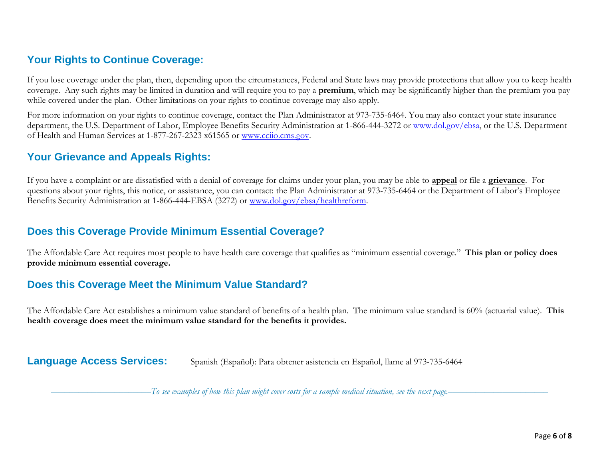# **Your Rights to Continue Coverage:**

If you lose coverage under the plan, then, depending upon the circumstances, Federal and State laws may provide protections that allow you to keep health coverage. Any such rights may be limited in duration and will require you to pay a **premium**, which may be significantly higher than the premium you pay while covered under the plan. Other limitations on your rights to continue coverage may also apply.

For more information on your rights to continue coverage, contact the Plan Administrator at 973-735-6464. You may also contact your state insurance department, the U.S. Department of Labor, Employee Benefits Security Administration at 1-866-444-3272 or [www.dol.gov/ebsa,](http://www.dol.gov/ebsa) or the U.S. Department of Health and Human Services at 1-877-267-2323 x61565 or [www.cciio.cms.gov.](http://www.cciio.cms.gov/)

## **Your Grievance and Appeals Rights:**

If you have a complaint or are dissatisfied with a denial of coverage for claims under your plan, you may be able to **appeal** or file a **grievance**. For questions about your rights, this notice, or assistance, you can contact: the Plan Administrator at 973-735-6464 or the Department of Labor's Employee Benefits Security Administration at 1-866-444-EBSA (3272) or [www.dol.gov/ebsa/healthreform.](http://www.dol.gov/ebsa/healthreform)

### **Does this Coverage Provide Minimum Essential Coverage?**

The Affordable Care Act requires most people to have health care coverage that qualifies as "minimum essential coverage." **This plan or policy does provide minimum essential coverage.** 

## **Does this Coverage Meet the Minimum Value Standard?**

The Affordable Care Act establishes a minimum value standard of benefits of a health plan. The minimum value standard is 60% (actuarial value). **This health coverage does meet the minimum value standard for the benefits it provides.** 

**Language Access Services:** Spanish (Español): Para obtener asistencia en Español, llame al 973-735-6464

––––––––––––––––––––––*To see examples of how this plan might cover costs for a sample medical situation, see the next page.–––––––––––*–––––––––––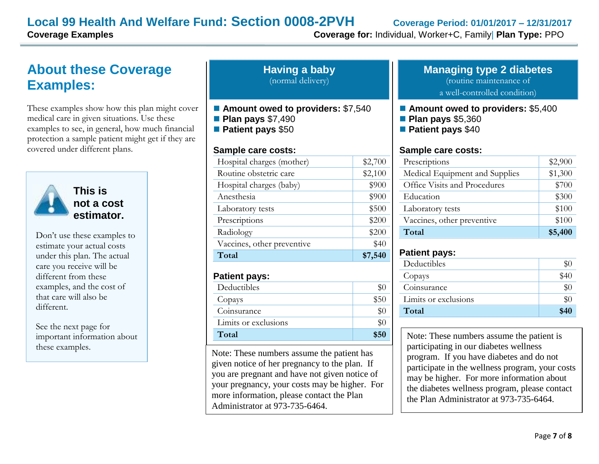# **Local 99 Health And Welfare Fund: Section 0008-2PVH Coverage Period: 01/01/2017 – 12/31/2017**

**Coverage Examples Coverage for:** Individual, Worker+C, Family| **Plan Type:** PPO

# **About these Coverage Examples:**

These examples show how this plan might cover medical care in given situations. Use these examples to see, in general, how much financial protection a sample patient might get if they are covered under different plans.



**This is not a cost estimator.** 

Don't use these examples to estimate your actual costs under this plan. The actual care you receive will be different from these examples, and the cost of that care will also be different.

See the next page for important information about these examples.

| <b>Having a baby</b> |  |
|----------------------|--|
| (normal delivery)    |  |

- Amount owed to providers: \$7,540
- **Plan pays** \$7,490
- **Patient pays** \$50

#### **Sample care costs:**

| Hospital charges (mother)  | \$2,700 |
|----------------------------|---------|
| Routine obstetric care     | \$2,100 |
| Hospital charges (baby)    | \$900   |
| Anesthesia                 | \$900   |
| Laboratory tests           | \$500   |
| Prescriptions              | \$200   |
| Radiology                  | \$200   |
| Vaccines, other preventive | \$40    |
| Total                      | \$7,540 |

#### **Patient pays:**

| Deductibles          |      |
|----------------------|------|
| Copays               | \$50 |
| Coinsurance          |      |
| Limits or exclusions |      |
| Total                | \$50 |

Note: These numbers assume the patient has given notice of her pregnancy to the plan. If you are pregnant and have not given notice of your pregnancy, your costs may be higher. For more information, please contact the Plan Administrator at 973-735-6464.

#### **Managing type 2 diabetes** (routine maintenance of a well-controlled condition)

#### ■ **Amount owed to providers: \$5,400**

- **Plan pays** \$5,360
- **Patient pays** \$40

#### **Sample care costs:**

| Prescriptions                  | \$2,900 |
|--------------------------------|---------|
| Medical Equipment and Supplies | \$1,300 |
| Office Visits and Procedures   | \$700   |
| Education                      | \$300   |
| Laboratory tests               | \$100   |
| Vaccines, other preventive     | \$100   |
| Total                          | \$5,400 |

#### **Patient pays:**

| Deductibles          | \$0   |
|----------------------|-------|
| Copays               | \$40  |
| Coinsurance          | $\$0$ |
| Limits or exclusions | $\$0$ |
| Total                | \$40  |
|                      |       |

Note: These numbers assume the patient is participating in our diabetes wellness program. If you have diabetes and do not participate in the wellness program, your costs may be higher. For more information about the diabetes wellness program, please contact the Plan Administrator at 973-735-6464.